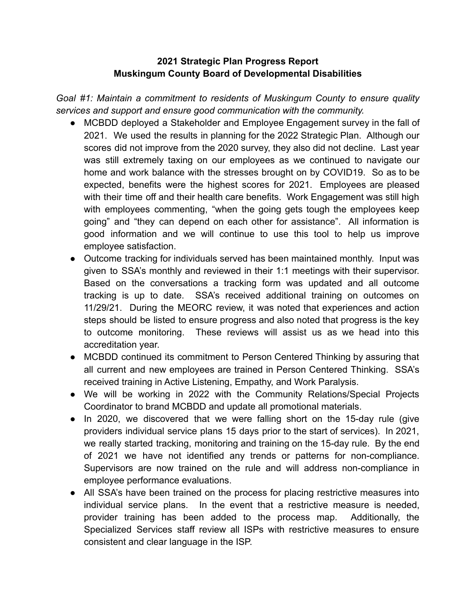## **2021 Strategic Plan Progress Report Muskingum County Board of Developmental Disabilities**

*Goal* #1: Maintain a commitment to residents of Muskingum County to ensure quality *services and support and ensure good communication with the community.*

- MCBDD deployed a Stakeholder and Employee Engagement survey in the fall of 2021. We used the results in planning for the 2022 Strategic Plan. Although our scores did not improve from the 2020 survey, they also did not decline. Last year was still extremely taxing on our employees as we continued to navigate our home and work balance with the stresses brought on by COVID19. So as to be expected, benefits were the highest scores for 2021. Employees are pleased with their time off and their health care benefits. Work Engagement was still high with employees commenting, "when the going gets tough the employees keep going" and "they can depend on each other for assistance". All information is good information and we will continue to use this tool to help us improve employee satisfaction.
- Outcome tracking for individuals served has been maintained monthly. Input was given to SSA's monthly and reviewed in their 1:1 meetings with their supervisor. Based on the conversations a tracking form was updated and all outcome tracking is up to date. SSA's received additional training on outcomes on 11/29/21. During the MEORC review, it was noted that experiences and action steps should be listed to ensure progress and also noted that progress is the key to outcome monitoring. These reviews will assist us as we head into this accreditation year.
- MCBDD continued its commitment to Person Centered Thinking by assuring that all current and new employees are trained in Person Centered Thinking. SSA's received training in Active Listening, Empathy, and Work Paralysis.
- We will be working in 2022 with the Community Relations/Special Projects Coordinator to brand MCBDD and update all promotional materials.
- In 2020, we discovered that we were falling short on the 15-day rule (give providers individual service plans 15 days prior to the start of services). In 2021, we really started tracking, monitoring and training on the 15-day rule. By the end of 2021 we have not identified any trends or patterns for non-compliance. Supervisors are now trained on the rule and will address non-compliance in employee performance evaluations.
- All SSA's have been trained on the process for placing restrictive measures into individual service plans. In the event that a restrictive measure is needed, provider training has been added to the process map. Additionally, the Specialized Services staff review all ISPs with restrictive measures to ensure consistent and clear language in the ISP.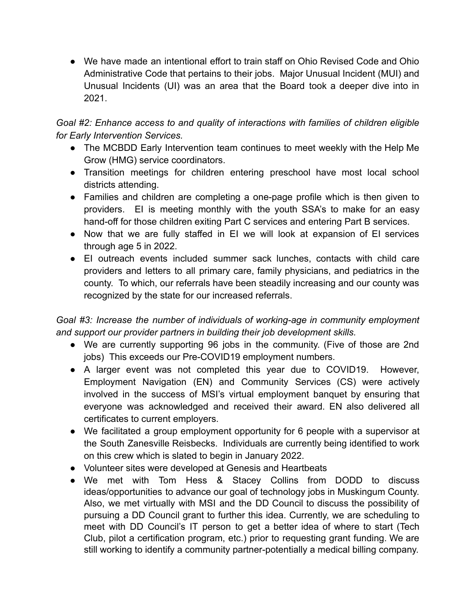● We have made an intentional effort to train staff on Ohio Revised Code and Ohio Administrative Code that pertains to their jobs. Major Unusual Incident (MUI) and Unusual Incidents (UI) was an area that the Board took a deeper dive into in 2021.

*Goal #2: Enhance access to and quality of interactions with families of children eligible for Early Intervention Services.*

- The MCBDD Early Intervention team continues to meet weekly with the Help Me Grow (HMG) service coordinators.
- Transition meetings for children entering preschool have most local school districts attending.
- Families and children are completing a one-page profile which is then given to providers. EI is meeting monthly with the youth SSA's to make for an easy hand-off for those children exiting Part C services and entering Part B services.
- Now that we are fully staffed in EI we will look at expansion of EI services through age 5 in 2022.
- EI outreach events included summer sack lunches, contacts with child care providers and letters to all primary care, family physicians, and pediatrics in the county. To which, our referrals have been steadily increasing and our county was recognized by the state for our increased referrals.

*Goal #3: Increase the number of individuals of working-age in community employment and support our provider partners in building their job development skills.*

- We are currently supporting 96 jobs in the community. (Five of those are 2nd jobs) This exceeds our Pre-COVID19 employment numbers.
- A larger event was not completed this year due to COVID19. However, Employment Navigation (EN) and Community Services (CS) were actively involved in the success of MSI's virtual employment banquet by ensuring that everyone was acknowledged and received their award. EN also delivered all certificates to current employers.
- We facilitated a group employment opportunity for 6 people with a supervisor at the South Zanesville Reisbecks. Individuals are currently being identified to work on this crew which is slated to begin in January 2022.
- Volunteer sites were developed at Genesis and Heartbeats
- We met with Tom Hess & Stacey Collins from DODD to discuss ideas/opportunities to advance our goal of technology jobs in Muskingum County. Also, we met virtually with MSI and the DD Council to discuss the possibility of pursuing a DD Council grant to further this idea. Currently, we are scheduling to meet with DD Council's IT person to get a better idea of where to start (Tech Club, pilot a certification program, etc.) prior to requesting grant funding. We are still working to identify a community partner-potentially a medical billing company.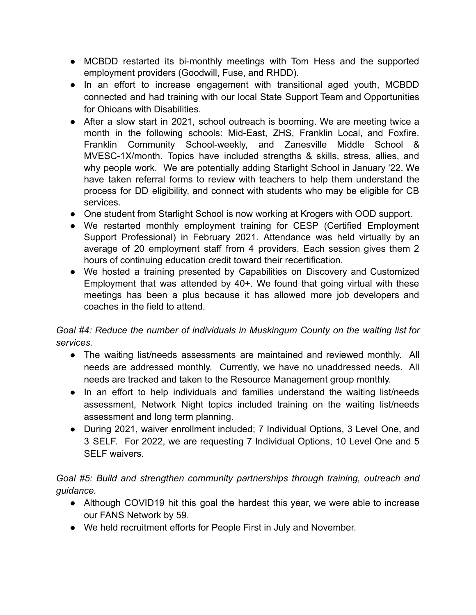- MCBDD restarted its bi-monthly meetings with Tom Hess and the supported employment providers (Goodwill, Fuse, and RHDD).
- In an effort to increase engagement with transitional aged youth, MCBDD connected and had training with our local State Support Team and Opportunities for Ohioans with Disabilities.
- After a slow start in 2021, school outreach is booming. We are meeting twice a month in the following schools: Mid-East, ZHS, Franklin Local, and Foxfire. Franklin Community School-weekly, and Zanesville Middle School & MVESC-1X/month. Topics have included strengths & skills, stress, allies, and why people work. We are potentially adding Starlight School in January '22. We have taken referral forms to review with teachers to help them understand the process for DD eligibility, and connect with students who may be eligible for CB services.
- One student from Starlight School is now working at Krogers with OOD support.
- We restarted monthly employment training for CESP (Certified Employment Support Professional) in February 2021. Attendance was held virtually by an average of 20 employment staff from 4 providers. Each session gives them 2 hours of continuing education credit toward their recertification.
- We hosted a training presented by Capabilities on Discovery and Customized Employment that was attended by 40+. We found that going virtual with these meetings has been a plus because it has allowed more job developers and coaches in the field to attend.

## *Goal #4: Reduce the number of individuals in Muskingum County on the waiting list for services.*

- The waiting list/needs assessments are maintained and reviewed monthly. All needs are addressed monthly. Currently, we have no unaddressed needs. All needs are tracked and taken to the Resource Management group monthly.
- In an effort to help individuals and families understand the waiting list/needs assessment, Network Night topics included training on the waiting list/needs assessment and long term planning.
- During 2021, waiver enrollment included; 7 Individual Options, 3 Level One, and 3 SELF. For 2022, we are requesting 7 Individual Options, 10 Level One and 5 SELF waivers.

## *Goal #5: Build and strengthen community partnerships through training, outreach and guidance.*

- Although COVID19 hit this goal the hardest this year, we were able to increase our FANS Network by 59.
- We held recruitment efforts for People First in July and November.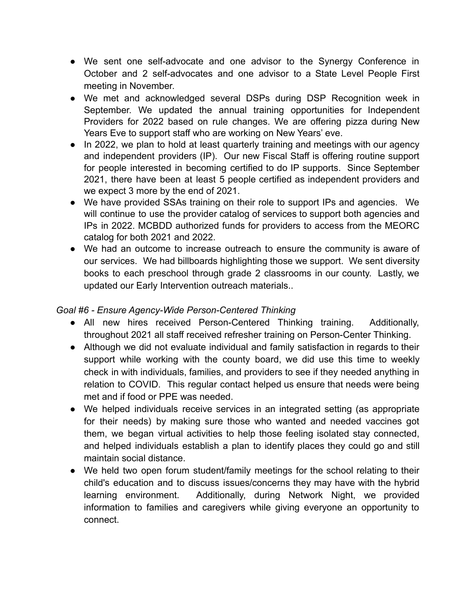- We sent one self-advocate and one advisor to the Synergy Conference in October and 2 self-advocates and one advisor to a State Level People First meeting in November.
- We met and acknowledged several DSPs during DSP Recognition week in September. We updated the annual training opportunities for Independent Providers for 2022 based on rule changes. We are offering pizza during New Years Eve to support staff who are working on New Years' eve.
- In 2022, we plan to hold at least quarterly training and meetings with our agency and independent providers (IP). Our new Fiscal Staff is offering routine support for people interested in becoming certified to do IP supports. Since September 2021, there have been at least 5 people certified as independent providers and we expect 3 more by the end of 2021.
- We have provided SSAs training on their role to support IPs and agencies. We will continue to use the provider catalog of services to support both agencies and IPs in 2022. MCBDD authorized funds for providers to access from the MEORC catalog for both 2021 and 2022.
- We had an outcome to increase outreach to ensure the community is aware of our services. We had billboards highlighting those we support. We sent diversity books to each preschool through grade 2 classrooms in our county. Lastly, we updated our Early Intervention outreach materials..

## *Goal #6 - Ensure Agency-Wide Person-Centered Thinking*

- All new hires received Person-Centered Thinking training. Additionally, throughout 2021 all staff received refresher training on Person-Center Thinking.
- Although we did not evaluate individual and family satisfaction in regards to their support while working with the county board, we did use this time to weekly check in with individuals, families, and providers to see if they needed anything in relation to COVID. This regular contact helped us ensure that needs were being met and if food or PPE was needed.
- We helped individuals receive services in an integrated setting (as appropriate for their needs) by making sure those who wanted and needed vaccines got them, we began virtual activities to help those feeling isolated stay connected, and helped individuals establish a plan to identify places they could go and still maintain social distance.
- We held two open forum student/family meetings for the school relating to their child's education and to discuss issues/concerns they may have with the hybrid learning environment. Additionally, during Network Night, we provided information to families and caregivers while giving everyone an opportunity to connect.